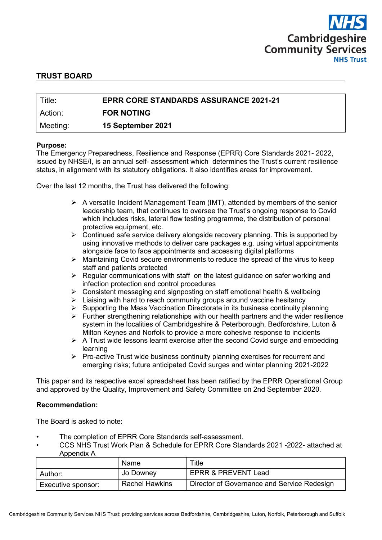

# **TRUST BOARD**

| Title:    | <b>EPRR CORE STANDARDS ASSURANCE 2021-21</b> |
|-----------|----------------------------------------------|
| l Action: | <b>FOR NOTING</b>                            |
| Meeting:  | 15 September 2021                            |

#### **Purpose:**

The Emergency Preparedness, Resilience and Response (EPRR) Core Standards 2021- 2022, issued by NHSE/I, is an annual self- assessment which determines the Trust's current resilience status, in alignment with its statutory obligations. It also identifies areas for improvement.

Over the last 12 months, the Trust has delivered the following:

- $\triangleright$  A versatile Incident Management Team (IMT), attended by members of the senior leadership team, that continues to oversee the Trust's ongoing response to Covid which includes risks, lateral flow testing programme, the distribution of personal protective equipment, etc.
- $\triangleright$  Continued safe service delivery alongside recovery planning. This is supported by using innovative methods to deliver care packages e.g. using virtual appointments alongside face to face appointments and accessing digital platforms
- $\triangleright$  Maintaining Covid secure environments to reduce the spread of the virus to keep staff and patients protected
- $\triangleright$  Regular communications with staff on the latest guidance on safer working and infection protection and control procedures
- $\triangleright$  Consistent messaging and signposting on staff emotional health & wellbeing
- $\triangleright$  Liaising with hard to reach community groups around vaccine hesitancy
- $\triangleright$  Supporting the Mass Vaccination Directorate in its business continuity planning
- $\triangleright$  Further strengthening relationships with our health partners and the wider resilience system in the localities of Cambridgeshire & Peterborough, Bedfordshire, Luton & Milton Keynes and Norfolk to provide a more cohesive response to incidents
- $\triangleright$  A Trust wide lessons learnt exercise after the second Covid surge and embedding learning
- $\triangleright$  Pro-active Trust wide business continuity planning exercises for recurrent and emerging risks; future anticipated Covid surges and winter planning 2021-2022

This paper and its respective excel spreadsheet has been ratified by the EPRR Operational Group and approved by the Quality, Improvement and Safety Committee on 2nd September 2020.

#### **Recommendation:**

The Board is asked to note:

- The completion of EPRR Core Standards self-assessment.
- CCS NHS Trust Work Plan & Schedule for EPRR Core Standards 2021 -2022- attached at Appendix A

|                    | Name                  | Title                                       |
|--------------------|-----------------------|---------------------------------------------|
| Author:            | Jo Downey             | EPRR & PREVENT Lead                         |
| Executive sponsor: | <b>Rachel Hawkins</b> | Director of Governance and Service Redesign |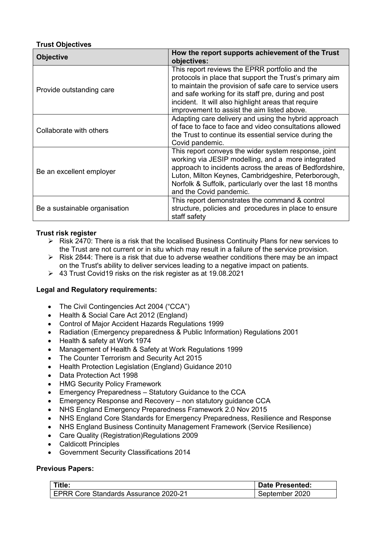# **Trust Objectives**

| <b>Objective</b>              | How the report supports achievement of the Trust<br>objectives:                                                                                                                                                                                                                                                                   |  |  |  |
|-------------------------------|-----------------------------------------------------------------------------------------------------------------------------------------------------------------------------------------------------------------------------------------------------------------------------------------------------------------------------------|--|--|--|
| Provide outstanding care      | This report reviews the EPRR portfolio and the<br>protocols in place that support the Trust's primary aim<br>to maintain the provision of safe care to service users<br>and safe working for its staff pre, during and post<br>incident. It will also highlight areas that require<br>improvement to assist the aim listed above. |  |  |  |
| Collaborate with others       | Adapting care delivery and using the hybrid approach<br>of face to face to face and video consultations allowed<br>the Trust to continue its essential service during the<br>Covid pandemic.                                                                                                                                      |  |  |  |
| Be an excellent employer      | This report conveys the wider system response, joint<br>working via JESIP modelling, and a more integrated<br>approach to incidents across the areas of Bedfordshire,<br>Luton, Milton Keynes, Cambridgeshire, Peterborough,<br>Norfolk & Suffolk, particularly over the last 18 months<br>and the Covid pandemic.                |  |  |  |
| Be a sustainable organisation | This report demonstrates the command & control<br>structure, policies and procedures in place to ensure<br>staff safety                                                                                                                                                                                                           |  |  |  |

# **Trust risk register**

- $\triangleright$  Risk 2470: There is a risk that the localised Business Continuity Plans for new services to the Trust are not current or in situ which may result in a failure of the service provision.
- $\triangleright$  Risk 2844: There is a risk that due to adverse weather conditions there may be an impact on the Trust's ability to deliver services leading to a negative impact on patients.
- 43 Trust Covid19 risks on the risk register as at 19.08.2021

#### **Legal and Regulatory requirements:**

- The Civil Contingencies Act 2004 ("CCA")
- Health & Social Care Act 2012 (England)
- Control of Major Accident Hazards Regulations 1999
- Radiation (Emergency preparedness & Public Information) Regulations 2001
- Health & safety at Work 1974
- Management of Health & Safety at Work Regulations 1999
- The Counter Terrorism and Security Act 2015
- Health Protection Legislation (England) Guidance 2010
- Data Protection Act 1998
- HMG Security Policy Framework
- Emergency Preparedness Statutory Guidance to the CCA
- Emergency Response and Recovery non statutory guidance CCA
- NHS England Emergency Preparedness Framework 2.0 Nov 2015
- NHS England Core Standards for Emergency Preparedness, Resilience and Response
- NHS England Business Continuity Management Framework (Service Resilience)
- Care Quality (Registration)Regulations 2009
- Caldicott Principles
- Government Security Classifications 2014

#### **Previous Papers:**

| Title:                                       | <b>Date Presented:</b> |
|----------------------------------------------|------------------------|
| <b>EPRR Core Standards Assurance 2020-21</b> | September 2020         |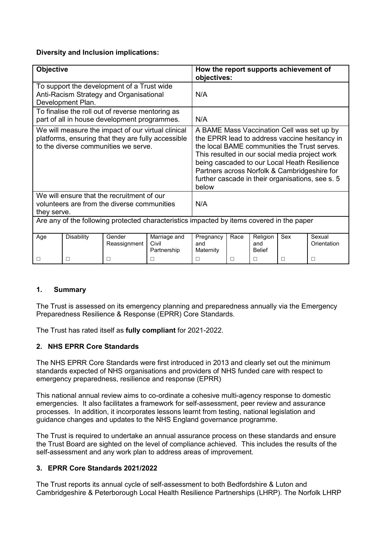# **Diversity and Inclusion implications:**

| <b>Objective</b>                                                                                                                                 |                   |                        | How the report supports achievement of<br>objectives:                                                                                                                                                                                                                                                                                                      |                               |        |                                  |        |                       |
|--------------------------------------------------------------------------------------------------------------------------------------------------|-------------------|------------------------|------------------------------------------------------------------------------------------------------------------------------------------------------------------------------------------------------------------------------------------------------------------------------------------------------------------------------------------------------------|-------------------------------|--------|----------------------------------|--------|-----------------------|
| To support the development of a Trust wide<br>Anti-Racism Strategy and Organisational<br>Development Plan.                                       |                   |                        | N/A                                                                                                                                                                                                                                                                                                                                                        |                               |        |                                  |        |                       |
| To finalise the roll out of reverse mentoring as<br>part of all in house development programmes.                                                 |                   |                        | N/A                                                                                                                                                                                                                                                                                                                                                        |                               |        |                                  |        |                       |
| We will measure the impact of our virtual clinical<br>platforms, ensuring that they are fully accessible<br>to the diverse communities we serve. |                   |                        | A BAME Mass Vaccination Cell was set up by<br>the EPRR lead to address vaccine hesitancy in<br>the local BAME communities the Trust serves.<br>This resulted in our social media project work<br>being cascaded to our Local Heath Resilience<br>Partners across Norfolk & Cambridgeshire for<br>further cascade in their organisations, see s. 5<br>below |                               |        |                                  |        |                       |
| We will ensure that the recruitment of our<br>volunteers are from the diverse communities<br>they serve.                                         |                   |                        | N/A                                                                                                                                                                                                                                                                                                                                                        |                               |        |                                  |        |                       |
| Are any of the following protected characteristics impacted by items covered in the paper                                                        |                   |                        |                                                                                                                                                                                                                                                                                                                                                            |                               |        |                                  |        |                       |
| Age                                                                                                                                              | <b>Disability</b> | Gender<br>Reassignment | Marriage and<br>Civil<br>Partnership                                                                                                                                                                                                                                                                                                                       | Pregnancy<br>and<br>Maternity | Race   | Religion<br>and<br><b>Belief</b> | Sex    | Sexual<br>Orientation |
| $\Box$                                                                                                                                           | $\Box$            | □                      | $\Box$                                                                                                                                                                                                                                                                                                                                                     | П                             | $\Box$ | □                                | $\Box$ | $\Box$                |

# **1. Summary**

The Trust is assessed on its emergency planning and preparedness annually via the Emergency Preparedness Resilience & Response (EPRR) Core Standards.

The Trust has rated itself as **fully compliant** for 2021-2022.

# **2. NHS EPRR Core Standards**

The NHS EPRR Core Standards were first introduced in 2013 and clearly set out the minimum standards expected of NHS organisations and providers of NHS funded care with respect to emergency preparedness, resilience and response (EPRR)

This national annual review aims to co-ordinate a cohesive multi-agency response to domestic emergencies. It also facilitates a framework for self-assessment, peer review and assurance processes. In addition, it incorporates lessons learnt from testing, national legislation and guidance changes and updates to the NHS England governance programme.

The Trust is required to undertake an annual assurance process on these standards and ensure the Trust Board are sighted on the level of compliance achieved. This includes the results of the self-assessment and any work plan to address areas of improvement.

# **3. EPRR Core Standards 2021/2022**

The Trust reports its annual cycle of self-assessment to both Bedfordshire & Luton and Cambridgeshire & Peterborough Local Health Resilience Partnerships (LHRP). The Norfolk LHRP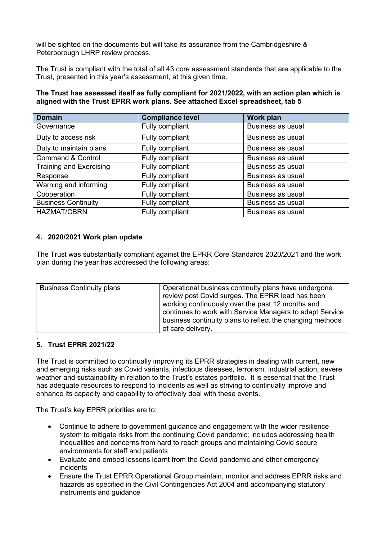will be sighted on the documents but will take its assurance from the Cambridgeshire & Peterborough LHRP review process.

The Trust is compliant with the total of all 43 core assessment standards that are applicable to the Trust, presented in this year's assessment, at this given time.

#### **The Trust has assessed itself as fully compliant for 2021/2022, with an action plan which is aligned with the Trust EPRR work plans. See attached Excel spreadsheet, tab 5**

| <b>Domain</b>                | <b>Compliance level</b> | Work plan                |
|------------------------------|-------------------------|--------------------------|
| Governance                   | Fully compliant         | Business as usual        |
| Duty to access risk          | Fully compliant         | Business as usual        |
| Duty to maintain plans       | Fully compliant         | Business as usual        |
| <b>Command &amp; Control</b> | Fully compliant         | <b>Business as usual</b> |
| Training and Exercising      | Fully compliant         | Business as usual        |
| Response                     | Fully compliant         | <b>Business as usual</b> |
| Warning and informing        | Fully compliant         | <b>Business as usual</b> |
| Cooperation                  | Fully compliant         | Business as usual        |
| <b>Business Continuity</b>   | Fully compliant         | Business as usual        |
| <b>HAZMAT/CBRN</b>           | Fully compliant         | Business as usual        |

# **4. 2020/2021 Work plan update**

The Trust was substantially compliant against the EPRR Core Standards 2020/2021 and the work plan during the year has addressed the following areas:

| <b>Business Continuity plans</b> | Operational business continuity plans have undergone<br>review post Covid surges. The EPRR lead has been<br>working continuously over the past 12 months and<br>continues to work with Service Managers to adapt Service<br>business continuity plans to reflect the changing methods |
|----------------------------------|---------------------------------------------------------------------------------------------------------------------------------------------------------------------------------------------------------------------------------------------------------------------------------------|
|                                  | of care delivery.                                                                                                                                                                                                                                                                     |

#### . **5. Trust EPRR 2021/22**

The Trust is committed to continually improving its EPRR strategies in dealing with current, new and emerging risks such as Covid variants, infectious diseases, terrorism, industrial action, severe weather and sustainability in relation to the Trust's estates portfolio. It is essential that the Trust has adequate resources to respond to incidents as well as striving to continually improve and enhance its capacity and capability to effectively deal with these events.

The Trust's key EPRR priorities are to:

- Continue to adhere to government guidance and engagement with the wider resilience system to mitigate risks from the continuing Covid pandemic; includes addressing health inequalities and concerns from hard to reach groups and maintaining Covid secure environments for staff and patients
- Evaluate and embed lessons learnt from the Covid pandemic and other emergency incidents
- Ensure the Trust EPRR Operational Group maintain, monitor and address EPRR risks and hazards as specified in the Civil Contingencies Act 2004 and accompanying statutory instruments and guidance